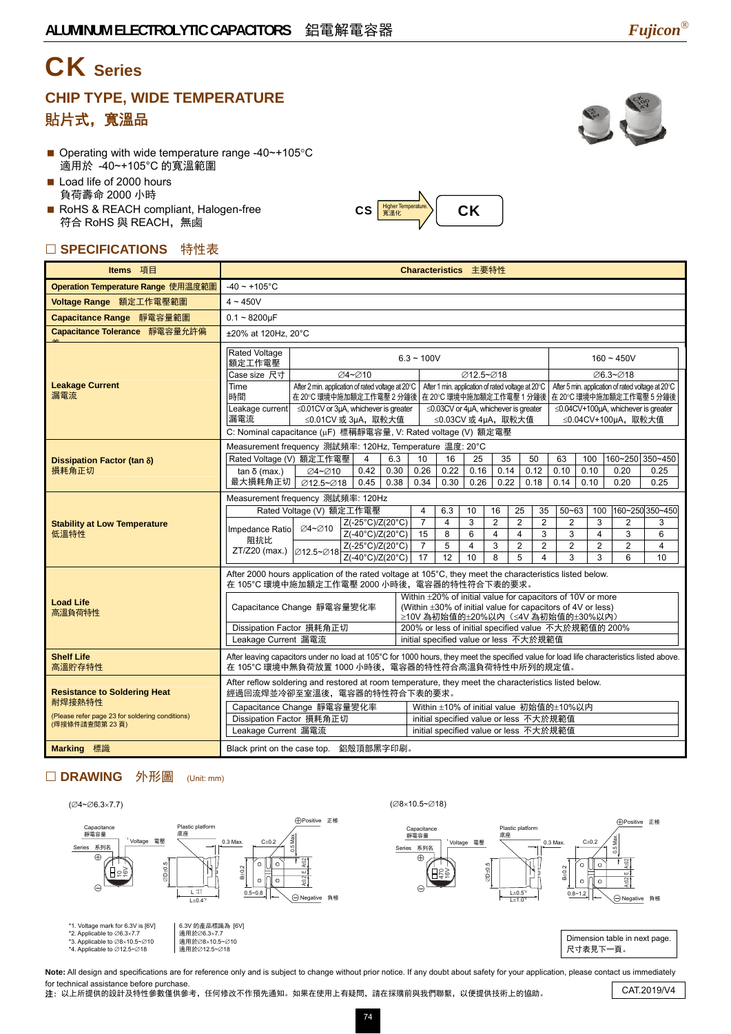# CK **Series**

### **CHIP TYPE, WIDE TEMPERATURE**  貼片式,寬溫品

- Operating with wide temperature range -40~+105°C 適用於 -40~+105°C 的寬溫範圍
- Load life of 2000 hours 負荷壽命 2000 小時
- RoHS & REACH compliant, Halogen-free 符合 RoHS 與 REACH,無鹵

#### □ SPECIFICATIONS 特性表

| Items 項目                                                         | Characteristics 主要特性                                                                                                                                                                                                                                                                                                                                                                                                                                                                                                                         |                                                                                                                                                                                                                                                                                                    |  |  |  |  |  |  |  |  |
|------------------------------------------------------------------|----------------------------------------------------------------------------------------------------------------------------------------------------------------------------------------------------------------------------------------------------------------------------------------------------------------------------------------------------------------------------------------------------------------------------------------------------------------------------------------------------------------------------------------------|----------------------------------------------------------------------------------------------------------------------------------------------------------------------------------------------------------------------------------------------------------------------------------------------------|--|--|--|--|--|--|--|--|
| Operation Temperature Range 使用温度範圍                               | $-40 \sim +105$ °C                                                                                                                                                                                                                                                                                                                                                                                                                                                                                                                           |                                                                                                                                                                                                                                                                                                    |  |  |  |  |  |  |  |  |
| Voltage Range 額定工作電壓範圍                                           | $4 \sim 450V$                                                                                                                                                                                                                                                                                                                                                                                                                                                                                                                                |                                                                                                                                                                                                                                                                                                    |  |  |  |  |  |  |  |  |
| Capacitance Range 靜電容量範圍                                         | $0.1 - 8200 \mu F$                                                                                                                                                                                                                                                                                                                                                                                                                                                                                                                           |                                                                                                                                                                                                                                                                                                    |  |  |  |  |  |  |  |  |
| Capacitance Tolerance 靜電容量允許偏                                    | ±20% at 120Hz. 20°C                                                                                                                                                                                                                                                                                                                                                                                                                                                                                                                          |                                                                                                                                                                                                                                                                                                    |  |  |  |  |  |  |  |  |
|                                                                  | <b>Rated Voltage</b><br>$6.3 - 100V$<br>額定工作電壓                                                                                                                                                                                                                                                                                                                                                                                                                                                                                               | $160 - 450V$                                                                                                                                                                                                                                                                                       |  |  |  |  |  |  |  |  |
| <b>Leakage Current</b><br>漏電流                                    | Case size 尺寸<br>Ø4~Ø10<br>Ø12.5~Ø18<br>After 2 min. application of rated voltage at 20°C<br>After 1 min. application of rated voltage at 20°C<br>Time<br>時間<br>在 20℃ 環境中施加額定工作電壓 2 分鐘後   在 20℃ 環境中施加額定工作電壓 1 分鐘後                                                                                                                                                                                                                                                                                                                             | ∅6.3~Ø18<br>After 5 min. application of rated voltage at 20°C<br><b>在 20℃ 環境中施加額定工作電壓 5 分鐘後</b>                                                                                                                                                                                                    |  |  |  |  |  |  |  |  |
|                                                                  | Leakage current $\leq 0.01$ CV or 3µA, whichever is greater<br>$\leq$ 0.03CV or 4µA, whichever is greater<br>漏電流<br>≤0.01CV 或 3µA, 取較大值<br>≤0.03CV 或 4µA, 取較大值                                                                                                                                                                                                                                                                                                                                                                               | $\leq$ 0.04CV+100µA, whichever is greater<br>≤0.04CV+100µA, 取較大值                                                                                                                                                                                                                                   |  |  |  |  |  |  |  |  |
|                                                                  | C: Nominal capacitance (µF) 標稱靜電容量, V: Rated voltage (V) 額定電壓<br>Measurement frequency 測試頻率: 120Hz, Temperature 温度: 20°C                                                                                                                                                                                                                                                                                                                                                                                                                     |                                                                                                                                                                                                                                                                                                    |  |  |  |  |  |  |  |  |
| Dissipation Factor (tan δ)<br>損耗角正切                              | Rated Voltage (V) 額定工作電壓<br>$\overline{4}$<br>6.3<br>16<br>35<br>50<br>10<br>25<br>0.22<br>∅4~∅10<br>0.42<br>0.30<br>0.26<br>0.16<br>0.14<br>0.12<br>$tan δ$ (max.)                                                                                                                                                                                                                                                                                                                                                                          | 160~250 350~450<br>63<br>100<br>0.10<br>0.10<br>0.20<br>0.25                                                                                                                                                                                                                                       |  |  |  |  |  |  |  |  |
|                                                                  | 最大損耗角正切<br>∅12.5~∅18<br>0.45<br>0.38<br>0.34<br>0.30<br>0.26<br>0.22<br>0.18                                                                                                                                                                                                                                                                                                                                                                                                                                                                 | 0.14<br>0.10<br>0.20<br>0.25                                                                                                                                                                                                                                                                       |  |  |  |  |  |  |  |  |
| <b>Stability at Low Temperature</b><br>低溫特性                      | Measurement frequency 測試頻率: 120Hz<br>Rated Voltage (V) 額定工作電壓<br>6.3<br>$\overline{4}$<br>10<br>16<br>25<br>$\overline{7}$<br>3<br>$\overline{2}$<br>$\overline{2}$<br>Z(-25°C)/Z(20°C)<br>4<br>∅4~∅10<br>Impedance Ratio<br>Z(-40°C)/Z(20°C)<br>15<br>8<br>$6\phantom{1}$<br>4<br>4<br>阻抗比<br>5<br>$\overline{7}$<br>$\overline{4}$<br>3<br>$\overline{2}$<br>Z(-25°C)/Z(20°C)<br>ZT/Z20 (max.)<br>212.5∼⊘18 $\frac{2(0.40^{\circ}C)/Z(20^{\circ}C)}{Z(-40^{\circ}C)/Z(20^{\circ}C)}$<br>$\overline{17}$<br>$\overline{12}$<br>8<br>5<br>10 | 160~250 350~450<br>$50 - 63$<br>35<br>100<br>$\overline{2}$<br>3<br>$\overline{2}$<br>$\overline{2}$<br>3<br>3<br>3<br>3<br>$\overline{\mathbf{4}}$<br>6<br>$\overline{2}$<br>$\overline{2}$<br>$\overline{2}$<br>$\overline{2}$<br>$\overline{4}$<br>$\overline{\mathbf{4}}$<br>6<br>3<br>3<br>10 |  |  |  |  |  |  |  |  |
|                                                                  | After 2000 hours application of the rated voltage at 105°C, they meet the characteristics listed below.<br>在 105°C 環境中施加額定工作電壓 2000 小時後, 電容器的特性符合下表的要求。                                                                                                                                                                                                                                                                                                                                                                                      |                                                                                                                                                                                                                                                                                                    |  |  |  |  |  |  |  |  |
| <b>Load Life</b><br>高溫負荷特性                                       | Within ±20% of initial value for capacitors of 10V or more<br>(Within ±30% of initial value for capacitors of 4V or less)<br>Capacitance Change 靜電容量變化率<br>≥10V 為初始值的±20%以內 (≤4V 為初始值的±30%以內)                                                                                                                                                                                                                                                                                                                                                |                                                                                                                                                                                                                                                                                                    |  |  |  |  |  |  |  |  |
|                                                                  | 200% or less of initial specified value 不大於規範值的 200%<br>Dissipation Factor 損耗角正切<br>initial specified value or less 不大於規範值<br>Leakage Current 漏電流                                                                                                                                                                                                                                                                                                                                                                                            |                                                                                                                                                                                                                                                                                                    |  |  |  |  |  |  |  |  |
| <b>Shelf Life</b><br>高溫貯存特性                                      | After leaving capacitors under no load at 105°C for 1000 hours, they meet the specified value for load life characteristics listed above.<br>在 105℃ 環境中無負荷放置 1000 小時後,電容器的特性符合高溫負荷特性中所列的規定值。                                                                                                                                                                                                                                                                                                                                                 |                                                                                                                                                                                                                                                                                                    |  |  |  |  |  |  |  |  |
| <b>Resistance to Soldering Heat</b><br>耐焊接熱特性                    | After reflow soldering and restored at room temperature, they meet the characteristics listed below.<br>經過回流焊並冷卻至室溫後,電容器的特性符合下表的要求。                                                                                                                                                                                                                                                                                                                                                                                                          |                                                                                                                                                                                                                                                                                                    |  |  |  |  |  |  |  |  |
| (Please refer page 23 for soldering conditions)<br>(焊接條件請查閱第23頁) | Capacitance Change 靜電容量變化率<br>Within ±10% of initial value 初始值的±10%以内<br>Dissipation Factor 損耗角正切<br>initial specified value or less 不大於規範值<br>Leakage Current 漏電流<br>initial specified value or less 不大於規範值                                                                                                                                                                                                                                                                                                                                 |                                                                                                                                                                                                                                                                                                    |  |  |  |  |  |  |  |  |
| <b>Marking 標識</b>                                                | Black print on the case top. 鋁殼頂部黑字印刷。                                                                                                                                                                                                                                                                                                                                                                                                                                                                                                       |                                                                                                                                                                                                                                                                                                    |  |  |  |  |  |  |  |  |

### □ DRAWING 外形圖 (Unit: mm)







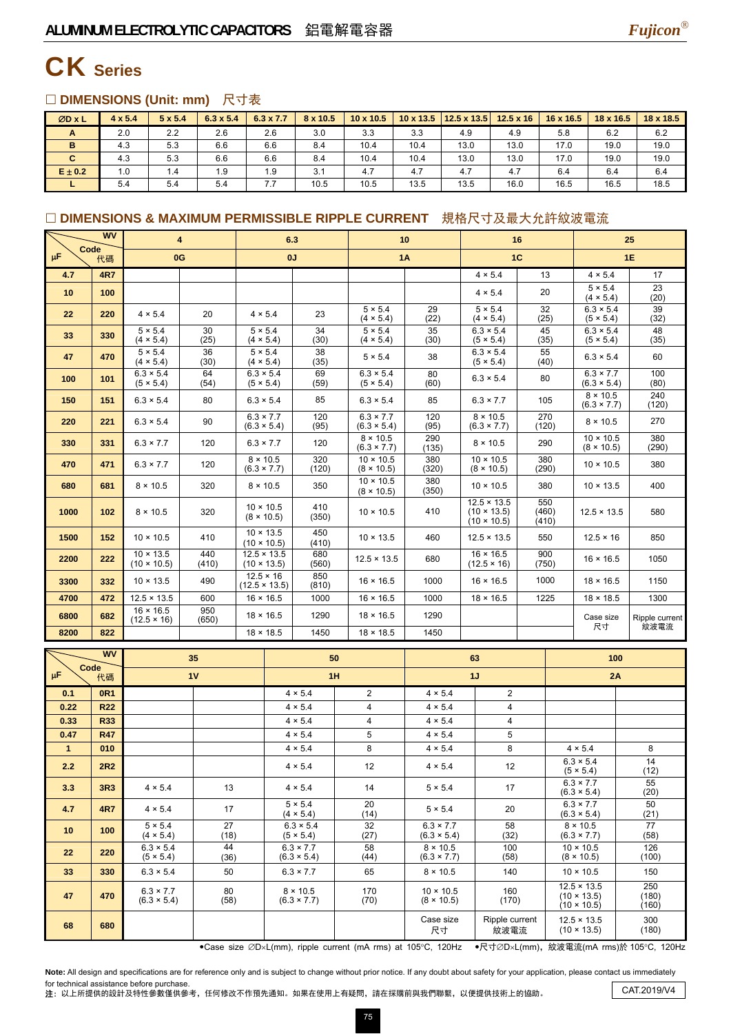

### CK **Series**

#### □ DIMENSIONS (Unit: mm) 尺寸表

| ØD x L      | $4 \times 5.4$ | $5 \times 5.4$ | $6.3 \times 5.4$ | $6.3 \times 7.7$ | 8 x 10.5 | $10 \times 10.5$ |      | $10 \times 13.5$   12.5 x 13.5 | $12.5 \times 16$ | $16 \times 16.5$ | 18 x 16.5 | $18 \times 18.5$ |
|-------------|----------------|----------------|------------------|------------------|----------|------------------|------|--------------------------------|------------------|------------------|-----------|------------------|
| A           | 2.0            | 2.2            | 2.6              | 2.6              | 3.0      | 3.3              | 3.3  | 4.9                            | 4.9              | 5.8              | 6.2       | 6.2              |
| B           | 4.3            | 5.3            | 6.6              | 6.6              | 8.4      | 10.4             | 10.4 | 13.0                           | 13.0             | 17.0             | 19.0      | 19.0             |
| C           | 4.3            | 5.3            | 6.6              | 6.6              | 8.4      | 10.4             | 10.4 | 13.0                           | 13.0             | 17.0             | 19.0      | 19.0             |
| $E \pm 0.2$ | 1.0            | 1.4            | 1.9              | 1.9              | 3.1      | 4.7              | 4.7  | 4.7                            | 4.7              | 6.4              | 6.4       | 6.4              |
|             | 5.4            | 5.4            | 5.4              | 7.7              | 10.5     | 10.5             | 13.5 | 13.5                           | 16.0             | 16.5             | 16.5      | 18.5             |

#### □ DIMENSIONS & MAXIMUM PERMISSIBLE RIPPLE CURRENT 規格尺寸及最大允許紋波電流

|                      | <b>WV</b>         | 4                                      |              | 6.3                                      |                  |                                        |           | 10                                     |                                        |                | 16                                                             |              |       | 25                                                             |                        |
|----------------------|-------------------|----------------------------------------|--------------|------------------------------------------|------------------|----------------------------------------|-----------|----------------------------------------|----------------------------------------|----------------|----------------------------------------------------------------|--------------|-------|----------------------------------------------------------------|------------------------|
| Code<br>$\mu$ F      | 代碼                | 0G                                     |              |                                          | 0J               |                                        | <b>1A</b> |                                        |                                        | 1 <sup>C</sup> |                                                                | 1E           |       |                                                                |                        |
| 4.7                  | <b>4R7</b>        |                                        |              |                                          |                  |                                        |           |                                        |                                        |                | $4 \times 5.4$                                                 |              | 13    | $4 \times 5.4$                                                 | 17                     |
| 10                   | 100               |                                        |              |                                          |                  |                                        |           |                                        |                                        |                | $4 \times 5.4$                                                 |              | 20    | $5 \times 5.4$<br>$(4 \times 5.4)$                             | 23<br>(20)             |
| 22                   | 220               | 4 × 5.4                                | 20           | $4 \times 5.4$                           |                  | 23                                     |           | $5 \times 5.4$<br>$(4 \times 5.4)$     | 29<br>(22)                             |                | $5 \times 5.4$<br>$(4 \times 5.4)$                             | (25)         | 32    | $6.3 \times 5.4$<br>(5 × 5.4)                                  | 39<br>(32)             |
| 33                   | 330               | $5 \times 5.4$<br>$(4 \times 5.4)$     | 30<br>(25)   | $5 \times 5.4$                           | $(4 \times 5.4)$ | 34<br>(30)                             |           | $5 \times 5.4$<br>$(4 \times 5.4)$     | 35<br>(30)                             |                | $6.3 \times 5.4$<br>(5 × 5.4)                                  | (35)         | 45    | $6.3 \times 5.4$<br>(5 × 5.4)                                  | 48<br>(35)             |
| 47                   | 470               | $5 \times 5.4$<br>$(4 \times 5.4)$     | 36<br>(30)   | $5 \times 5.4$<br>$(4 \times 5.4)$       |                  | 38<br>(35)                             |           | $5 \times 5.4$                         | 38                                     |                | $6.3 \times 5.4$<br>(5 × 5.4)                                  | (40)         | 55    | $6.3 \times 5.4$                                               | 60                     |
| 100                  | 101               | $6.3 \times 5.4$<br>(5 × 5.4)          | 64<br>(54)   | $6.3 \times 5.4$                         | (5 × 5.4)        | 69<br>(59)                             |           | $6.3 \times 5.4$<br>(5 × 5.4)          | 80<br>(60)                             |                | $6.3 \times 5.4$                                               |              | 80    | $6.3 \times 7.7$<br>$(6.3 \times 5.4)$                         | 100<br>(80)            |
| 150                  | 151               | $6.3 \times 5.4$                       | 80           | $6.3 \times 5.4$                         |                  | 85                                     |           | $6.3 \times 5.4$                       | 85                                     |                | $6.3 \times 7.7$                                               |              | 105   | $8 \times 10.5$<br>$(6.3 \times 7.7)$                          | 240<br>(120)           |
| 220                  | 221               | $6.3 \times 5.4$                       | 90           | $6.3 \times 7.7$<br>$(6.3 \times 5.4)$   |                  | 120<br>(95)                            |           | $6.3 \times 7.7$<br>$(6.3 \times 5.4)$ | 120<br>(95)                            |                | $8 \times 10.5$<br>$(6.3 \times 7.7)$                          | (120)        | 270   | $8 \times 10.5$                                                | 270                    |
| 330                  | 331               | $6.3 \times 7.7$                       | 120          | $6.3 \times 7.7$                         |                  | 120                                    |           | $8 \times 10.5$<br>$(6.3 \times 7.7)$  | 290<br>(135)                           |                | $8 \times 10.5$                                                | 290          |       | $10 \times 10.5$<br>$(8 \times 10.5)$                          | 380<br>(290)           |
| 470                  | 471               | $6.3 \times 7.7$                       | 120          | $8 \times 10.5$<br>$(6.3 \times 7.7)$    |                  | 320<br>(120)                           |           | $10 \times 10.5$<br>$(8 \times 10.5)$  | 380<br>(320)                           |                | $10 \times 10.5$<br>$(8 \times 10.5)$                          | (290)        | 380   | $10 \times 10.5$                                               | 380                    |
| 680                  | 681               | $8 \times 10.5$                        | 320          | $8 \times 10.5$                          |                  | 350                                    |           | $10 \times 10.5$<br>$(8 \times 10.5)$  | 380<br>(350)                           |                | $10 \times 10.5$                                               | 380          |       | $10 \times 13.5$                                               | 400                    |
| 1000                 | 102               | $8 \times 10.5$                        | 320          | $10 \times 10.5$<br>$(8 \times 10.5)$    |                  | 410<br>(350)                           |           | $10 \times 10.5$                       | 410                                    |                | $12.5 \times 13.5$<br>$(10 \times 13.5)$<br>$(10 \times 10.5)$ | 550<br>(410) | (460) | $12.5 \times 13.5$                                             | 580                    |
| 1500                 | 152               | $10 \times 10.5$                       | 410          | $10 \times 13.5$<br>$(10 \times 10.5)$   |                  | 450<br>(410)                           |           | $10 \times 13.5$                       | 460                                    |                | $12.5 \times 13.5$                                             | 550          |       | $12.5 \times 16$                                               | 850                    |
| 2200                 | 222               | $10 \times 13.5$<br>$(10 \times 10.5)$ | 440<br>(410) | $12.5 \times 13.5$<br>$(10 \times 13.5)$ |                  | 680<br>(560)                           |           | $12.5 \times 13.5$                     | 680                                    |                | $16 \times 16.5$<br>$(12.5 \times 16)$                         | 900          | (750) | $16 \times 16.5$                                               | 1050                   |
| 3300                 | 332               | $10 \times 13.5$                       | 490          | $12.5 \times 16$<br>$(12.5 \times 13.5)$ |                  | 850<br>(810)                           |           | $16 \times 16.5$                       | 1000                                   |                | $16 \times 16.5$                                               | 1000         |       | $18 \times 16.5$                                               | 1150                   |
| 4700                 | 472               | $12.5 \times 13.5$                     | 600          | $16 \times 16.5$                         |                  | 1000                                   |           | $16 \times 16.5$                       | 1000                                   |                | $18 \times 16.5$                                               | 1225         |       | $18 \times 18.5$                                               | 1300                   |
| 6800                 | 682               | $16 \times 16.5$<br>$(12.5 \times 16)$ | 950<br>(650) |                                          | $18 \times 16.5$ | 1290                                   |           | $18 \times 16.5$                       | 1290                                   |                |                                                                |              |       | Case size<br>尺寸                                                | Ripple current<br>紋波電流 |
| 8200                 | 822               |                                        |              | $18 \times 18.5$                         |                  | 1450                                   |           | $18 \times 18.5$                       | 1450                                   |                |                                                                |              |       |                                                                |                        |
|                      | <b>WV</b>         |                                        | 35           |                                          |                  | 50                                     |           |                                        |                                        |                | 63                                                             |              |       | 100                                                            |                        |
| Code<br>μF           | 代碼                |                                        | 1V           |                                          | 1H               |                                        |           | 1J                                     |                                        |                |                                                                | 2A           |       |                                                                |                        |
| 0.1                  | <b>OR1</b>        |                                        |              |                                          |                  | 4 × 5.4                                |           | 2                                      | $4 \times 5.4$                         |                | 2                                                              |              |       |                                                                |                        |
| 0.22                 | <b>R22</b>        |                                        |              |                                          |                  | $4 \times 5.4$                         |           | 4                                      | $4 \times 5.4$                         |                | 4                                                              |              |       |                                                                |                        |
| 0.33                 | R33               |                                        |              |                                          |                  | 4 × 5.4                                |           | 4                                      | 4 × 5.4                                |                | $\overline{4}$                                                 |              |       |                                                                |                        |
| 0.47<br>$\mathbf{1}$ | <b>R47</b><br>010 |                                        |              |                                          |                  | $4 \times 5.4$<br>$4 \times 5.4$       |           | 5<br>8                                 | $4 \times 5.4$<br>$4 \times 5.4$       |                | 5<br>8                                                         |              |       | $4 \times 5.4$                                                 | 8                      |
| 2.2                  | <b>2R2</b>        |                                        |              |                                          |                  | $4 \times 5.4$                         |           | 12                                     | $4 \times 5.4$                         |                | 12                                                             |              |       | $6.3 \times 5.4$<br>(5 × 5.4)                                  | 14<br>(12)             |
| 3.3                  | 3R3               | $4 \times 5.4$                         | 13           |                                          |                  | $4 \times 5.4$                         |           | 14                                     | $5 \times 5.4$                         |                | 17                                                             |              |       | $6.3 \times 7.7$<br>$(6.3 \times 5.4)$                         | 55<br>(20)             |
| 4.7                  | <b>4R7</b>        | $4 \times 5.4$                         | 17           |                                          |                  | $5 \times 5.4$<br>$(4 \times 5.4)$     |           | 20<br>(14)                             | $5 \times 5.4$                         |                | 20                                                             |              |       | $6.3 \times 7.7$<br>$(6.3 \times 5.4)$                         | 50<br>(21)             |
| 10                   | 100               | $5 \times 5.4$<br>(4 × 5.4)            | 27<br>(18)   |                                          |                  | $6.3 \times 5.4$<br>(5 × 5.4)          |           | 32<br>(27)                             | $6.3 \times 7.7$<br>$(6.3 \times 5.4)$ |                | 58<br>(32)                                                     |              |       | $8 \times 10.5$<br>$(6.3 \times 7.7)$                          | 77<br>(58)             |
| 22                   | 220               | $6.3 \times 5.4$<br>(5 × 5.4)          | 44<br>(36)   |                                          |                  | $6.3 \times 7.7$<br>$(6.3 \times 5.4)$ |           | 58<br>(44)                             | $8 \times 10.5$<br>$(6.3 \times 7.7)$  |                | 100<br>(58)                                                    |              |       | $10 \times 10.5$<br>$(8 \times 10.5)$                          | 126<br>(100)           |
| 33                   | 330               | $6.3 \times 5.4$                       | 50           |                                          |                  | $6.3 \times 7.7$                       |           | 65                                     | $8 \times 10.5$                        |                | 140                                                            |              |       | $10 \times 10.5$                                               | 150                    |
| 47                   | 470               | $6.3 \times 7.7$<br>$(6.3 \times 5.4)$ | 80<br>(58)   |                                          |                  | $8 \times 10.5$<br>$(6.3 \times 7.7)$  |           | 170<br>(70)                            | $10 \times 10.5$<br>$(8 \times 10.5)$  |                | 160<br>(170)                                                   |              |       | $12.5 \times 13.5$<br>$(10 \times 13.5)$<br>$(10 \times 10.5)$ | 250<br>(180)<br>(160)  |
| 68                   | 680               |                                        |              |                                          |                  |                                        |           |                                        | Case size<br>尺寸                        |                | Ripple current<br>紋波電流                                         |              |       | $12.5 \times 13.5$<br>$(10 \times 13.5)$                       | 300<br>(180)           |

•Case size ∅D×L(mm), ripple current (mA rms) at 105°C, 120Hz •尺寸∅D×L(mm), 紋波電流(mA rms)於 105°C, 120Hz

Note: All design and specifications are for reference only and is subject to change without prior notice. If any doubt about safety for your application, please contact us immediately for technical assistance before purchase.

for technical assistance before purchase.<br>注: 以上所提供的設計及特性參數僅供參考,任何修改不作預先通知。如果在使用上有疑問,請在採購前與我們聯繫,以便提供技術上的協助。 CAT.2019/V4